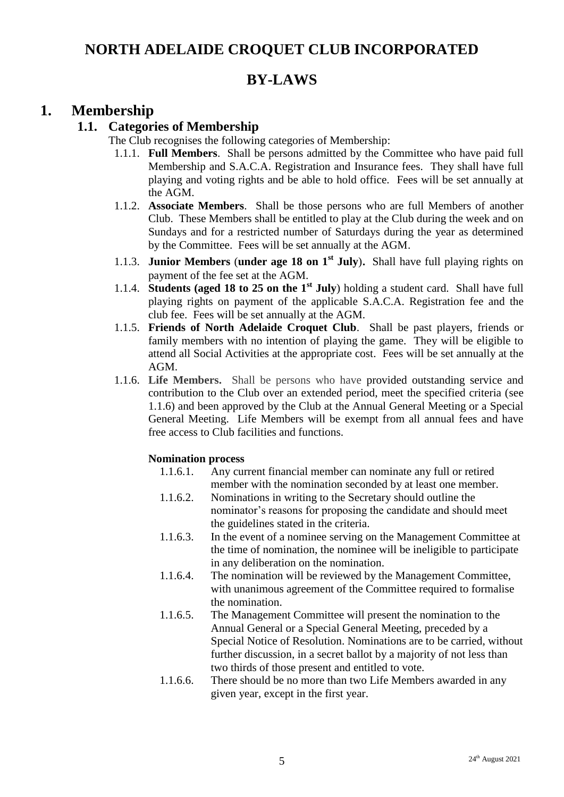## **NORTH ADELAIDE CROQUET CLUB INCORPORATED**

## **BY-LAWS**

### **1. Membership**

### **1.1. Categories of Membership**

The Club recognises the following categories of Membership:

- 1.1.1. **Full Members**. Shall be persons admitted by the Committee who have paid full Membership and S.A.C.A. Registration and Insurance fees. They shall have full playing and voting rights and be able to hold office. Fees will be set annually at the AGM.
- 1.1.2. **Associate Members**. Shall be those persons who are full Members of another Club. These Members shall be entitled to play at the Club during the week and on Sundays and for a restricted number of Saturdays during the year as determined by the Committee. Fees will be set annually at the AGM.
- 1.1.3. **Junior Members** (**under age 18 on 1st July**). Shall have full playing rights on payment of the fee set at the AGM.
- 1.1.4. **Students (aged 18 to 25 on the 1st July**) holding a student card. Shall have full playing rights on payment of the applicable S.A.C.A. Registration fee and the club fee. Fees will be set annually at the AGM.
- 1.1.5. **Friends of North Adelaide Croquet Club**. Shall be past players, friends or family members with no intention of playing the game. They will be eligible to attend all Social Activities at the appropriate cost. Fees will be set annually at the AGM.
- 1.1.6. **Life Members.** Shall be persons who have provided outstanding service and contribution to the Club over an extended period, meet the specified criteria (see 1.1.6) and been approved by the Club at the Annual General Meeting or a Special General Meeting. Life Members will be exempt from all annual fees and have free access to Club facilities and functions.

#### **Nomination process**

- 1.1.6.1. Any current financial member can nominate any full or retired member with the nomination seconded by at least one member.
- 1.1.6.2. Nominations in writing to the Secretary should outline the nominator's reasons for proposing the candidate and should meet the guidelines stated in the criteria.
- 1.1.6.3. In the event of a nominee serving on the Management Committee at the time of nomination, the nominee will be ineligible to participate in any deliberation on the nomination.
- 1.1.6.4. The nomination will be reviewed by the Management Committee, with unanimous agreement of the Committee required to formalise the nomination.
- 1.1.6.5. The Management Committee will present the nomination to the Annual General or a Special General Meeting, preceded by a Special Notice of Resolution. Nominations are to be carried, without further discussion, in a secret ballot by a majority of not less than two thirds of those present and entitled to vote.
- 1.1.6.6. There should be no more than two Life Members awarded in any given year, except in the first year.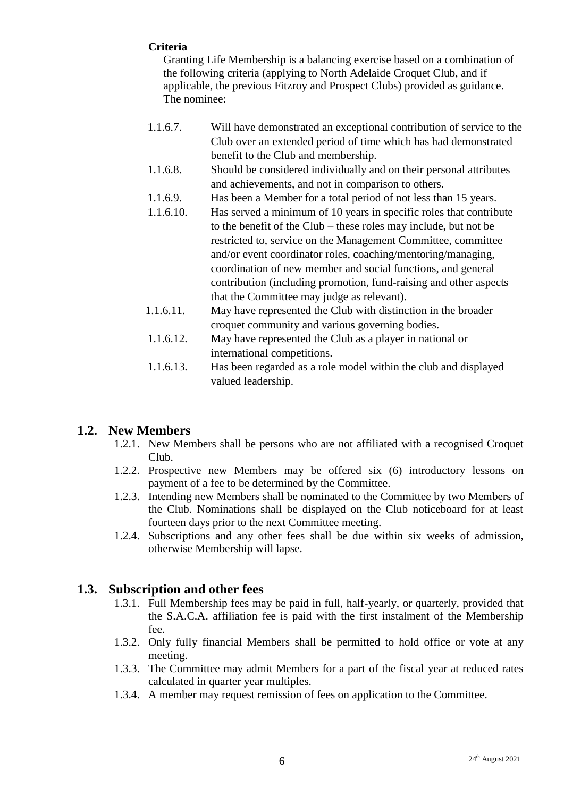#### **Criteria**

Granting Life Membership is a balancing exercise based on a combination of the following criteria (applying to North Adelaide Croquet Club, and if applicable, the previous Fitzroy and Prospect Clubs) provided as guidance. The nominee:

- 1.1.6.7. Will have demonstrated an exceptional contribution of service to the Club over an extended period of time which has had demonstrated benefit to the Club and membership.
- 1.1.6.8. Should be considered individually and on their personal attributes and achievements, and not in comparison to others.
- 1.1.6.9. Has been a Member for a total period of not less than 15 years.
- 1.1.6.10. Has served a minimum of 10 years in specific roles that contribute to the benefit of the Club – these roles may include, but not be restricted to, service on the Management Committee, committee and/or event coordinator roles, coaching/mentoring/managing, coordination of new member and social functions, and general contribution (including promotion, fund-raising and other aspects that the Committee may judge as relevant).
- 1.1.6.11. May have represented the Club with distinction in the broader croquet community and various governing bodies.
- 1.1.6.12. May have represented the Club as a player in national or international competitions.
- 1.1.6.13. Has been regarded as a role model within the club and displayed valued leadership.

### **1.2. New Members**

- 1.2.1. New Members shall be persons who are not affiliated with a recognised Croquet Club.
- 1.2.2. Prospective new Members may be offered six (6) introductory lessons on payment of a fee to be determined by the Committee.
- 1.2.3. Intending new Members shall be nominated to the Committee by two Members of the Club. Nominations shall be displayed on the Club noticeboard for at least fourteen days prior to the next Committee meeting.
- 1.2.4. Subscriptions and any other fees shall be due within six weeks of admission, otherwise Membership will lapse.

### **1.3. Subscription and other fees**

- 1.3.1. Full Membership fees may be paid in full, half-yearly, or quarterly, provided that the S.A.C.A. affiliation fee is paid with the first instalment of the Membership fee.
- 1.3.2. Only fully financial Members shall be permitted to hold office or vote at any meeting.
- 1.3.3. The Committee may admit Members for a part of the fiscal year at reduced rates calculated in quarter year multiples.
- 1.3.4. A member may request remission of fees on application to the Committee.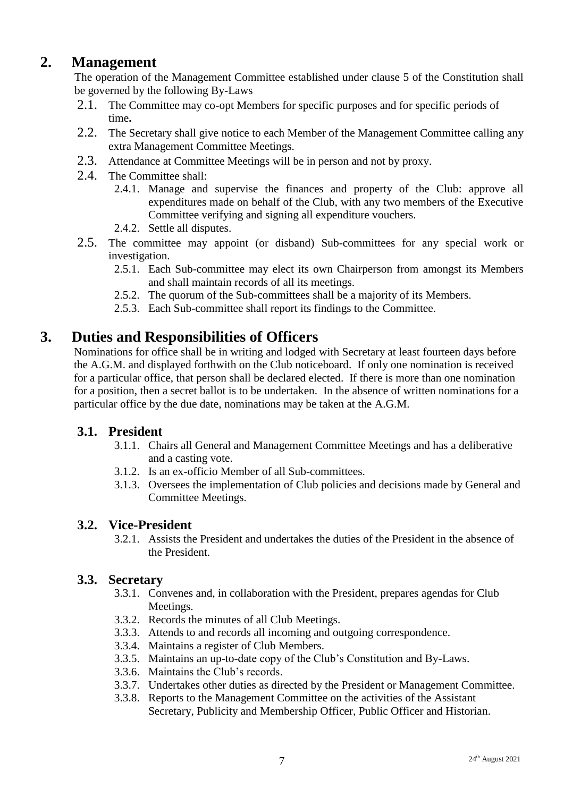## **2. Management**

The operation of the Management Committee established under clause 5 of the Constitution shall be governed by the following By-Laws

- 2.1. The Committee may co-opt Members for specific purposes and for specific periods of time**.**
- 2.2. The Secretary shall give notice to each Member of the Management Committee calling any extra Management Committee Meetings.
- 2.3. Attendance at Committee Meetings will be in person and not by proxy.
- 2.4. The Committee shall:
	- 2.4.1. Manage and supervise the finances and property of the Club: approve all expenditures made on behalf of the Club, with any two members of the Executive Committee verifying and signing all expenditure vouchers.
	- 2.4.2. Settle all disputes.
- 2.5. The committee may appoint (or disband) Sub-committees for any special work or investigation.
	- 2.5.1. Each Sub-committee may elect its own Chairperson from amongst its Members and shall maintain records of all its meetings.
	- 2.5.2. The quorum of the Sub-committees shall be a majority of its Members.
	- 2.5.3. Each Sub-committee shall report its findings to the Committee.

## **3. Duties and Responsibilities of Officers**

Nominations for office shall be in writing and lodged with Secretary at least fourteen days before the A.G.M. and displayed forthwith on the Club noticeboard. If only one nomination is received for a particular office, that person shall be declared elected. If there is more than one nomination for a position, then a secret ballot is to be undertaken. In the absence of written nominations for a particular office by the due date, nominations may be taken at the A.G.M.

#### **3.1. President**

- 3.1.1. Chairs all General and Management Committee Meetings and has a deliberative and a casting vote.
- 3.1.2. Is an ex-officio Member of all Sub-committees.
- 3.1.3. Oversees the implementation of Club policies and decisions made by General and Committee Meetings.

#### **3.2. Vice-President**

3.2.1. Assists the President and undertakes the duties of the President in the absence of the President.

#### **3.3. Secretary**

- 3.3.1. Convenes and, in collaboration with the President, prepares agendas for Club Meetings.
- 3.3.2. Records the minutes of all Club Meetings.
- 3.3.3. Attends to and records all incoming and outgoing correspondence.
- 3.3.4. Maintains a register of Club Members.
- 3.3.5. Maintains an up-to-date copy of the Club's Constitution and By-Laws.
- 3.3.6. Maintains the Club's records.
- 3.3.7. Undertakes other duties as directed by the President or Management Committee.
- 3.3.8. Reports to the Management Committee on the activities of the Assistant Secretary, Publicity and Membership Officer, Public Officer and Historian.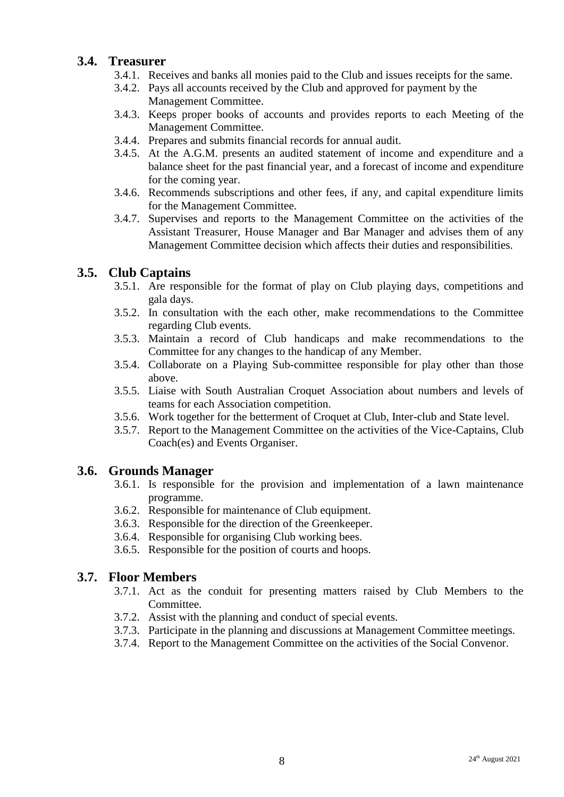### **3.4. Treasurer**

- 3.4.1. Receives and banks all monies paid to the Club and issues receipts for the same.
- 3.4.2. Pays all accounts received by the Club and approved for payment by the Management Committee.
- 3.4.3. Keeps proper books of accounts and provides reports to each Meeting of the Management Committee.
- 3.4.4. Prepares and submits financial records for annual audit.
- 3.4.5. At the A.G.M. presents an audited statement of income and expenditure and a balance sheet for the past financial year, and a forecast of income and expenditure for the coming year.
- 3.4.6. Recommends subscriptions and other fees, if any, and capital expenditure limits for the Management Committee.
- 3.4.7. Supervises and reports to the Management Committee on the activities of the Assistant Treasurer, House Manager and Bar Manager and advises them of any Management Committee decision which affects their duties and responsibilities.

### **3.5. Club Captains**

- 3.5.1. Are responsible for the format of play on Club playing days, competitions and gala days.
- 3.5.2. In consultation with the each other, make recommendations to the Committee regarding Club events.
- 3.5.3. Maintain a record of Club handicaps and make recommendations to the Committee for any changes to the handicap of any Member.
- 3.5.4. Collaborate on a Playing Sub-committee responsible for play other than those above.
- 3.5.5. Liaise with South Australian Croquet Association about numbers and levels of teams for each Association competition.
- 3.5.6. Work together for the betterment of Croquet at Club, Inter-club and State level.
- 3.5.7. Report to the Management Committee on the activities of the Vice-Captains, Club Coach(es) and Events Organiser.

#### **3.6. Grounds Manager**

- 3.6.1. Is responsible for the provision and implementation of a lawn maintenance programme.
- 3.6.2. Responsible for maintenance of Club equipment.
- 3.6.3. Responsible for the direction of the Greenkeeper.
- 3.6.4. Responsible for organising Club working bees.
- 3.6.5. Responsible for the position of courts and hoops.

#### **3.7. Floor Members**

- 3.7.1. Act as the conduit for presenting matters raised by Club Members to the Committee.
- 3.7.2. Assist with the planning and conduct of special events.
- 3.7.3. Participate in the planning and discussions at Management Committee meetings.
- 3.7.4. Report to the Management Committee on the activities of the Social Convenor.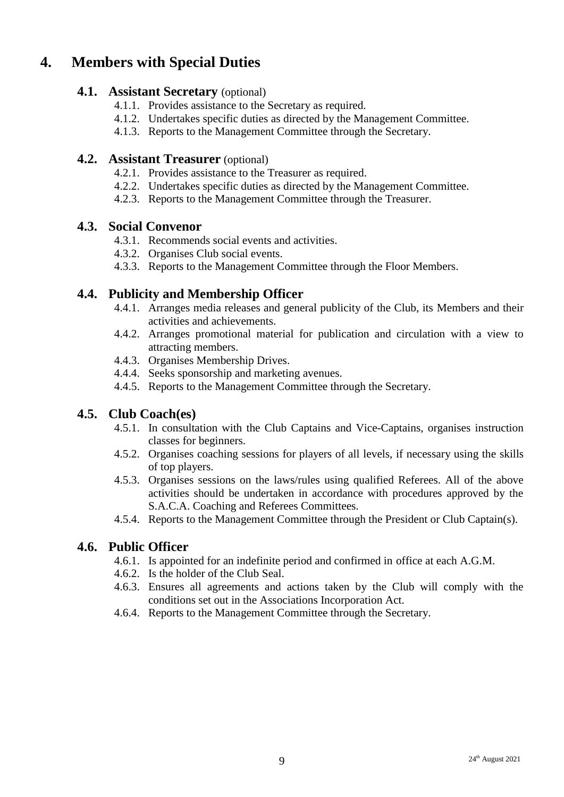# **4. Members with Special Duties**

#### **4.1. Assistant Secretary** (optional)

- 4.1.1. Provides assistance to the Secretary as required.
- 4.1.2. Undertakes specific duties as directed by the Management Committee.
- 4.1.3. Reports to the Management Committee through the Secretary.

#### **4.2. Assistant Treasurer** (optional)

- 4.2.1. Provides assistance to the Treasurer as required.
- 4.2.2. Undertakes specific duties as directed by the Management Committee.
- 4.2.3. Reports to the Management Committee through the Treasurer.

#### **4.3. Social Convenor**

- 4.3.1. Recommends social events and activities.
- 4.3.2. Organises Club social events.
- 4.3.3. Reports to the Management Committee through the Floor Members.

### **4.4. Publicity and Membership Officer**

- 4.4.1. Arranges media releases and general publicity of the Club, its Members and their activities and achievements.
- 4.4.2. Arranges promotional material for publication and circulation with a view to attracting members.
- 4.4.3. Organises Membership Drives.
- 4.4.4. Seeks sponsorship and marketing avenues.
- 4.4.5. Reports to the Management Committee through the Secretary.

#### **4.5. Club Coach(es)**

- 4.5.1. In consultation with the Club Captains and Vice-Captains, organises instruction classes for beginners.
- 4.5.2. Organises coaching sessions for players of all levels, if necessary using the skills of top players.
- 4.5.3. Organises sessions on the laws/rules using qualified Referees. All of the above activities should be undertaken in accordance with procedures approved by the S.A.C.A. Coaching and Referees Committees.
- 4.5.4. Reports to the Management Committee through the President or Club Captain(s).

#### **4.6. Public Officer**

- 4.6.1. Is appointed for an indefinite period and confirmed in office at each A.G.M.
- 4.6.2. Is the holder of the Club Seal.
- 4.6.3. Ensures all agreements and actions taken by the Club will comply with the conditions set out in the Associations Incorporation Act.
- 4.6.4. Reports to the Management Committee through the Secretary.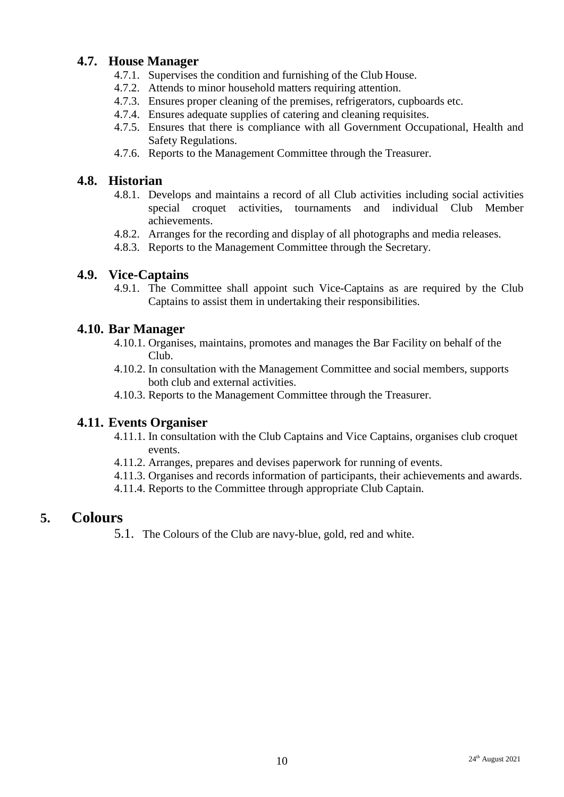### **4.7. House Manager**

- 4.7.1. Supervises the condition and furnishing of the Club House.
- 4.7.2. Attends to minor household matters requiring attention.
- 4.7.3. Ensures proper cleaning of the premises, refrigerators, cupboards etc.
- 4.7.4. Ensures adequate supplies of catering and cleaning requisites.
- 4.7.5. Ensures that there is compliance with all Government Occupational, Health and Safety Regulations.
- 4.7.6. Reports to the Management Committee through the Treasurer.

### **4.8. Historian**

- 4.8.1. Develops and maintains a record of all Club activities including social activities special croquet activities, tournaments and individual Club Member achievements.
- 4.8.2. Arranges for the recording and display of all photographs and media releases.
- 4.8.3. Reports to the Management Committee through the Secretary.

#### **4.9. Vice-Captains**

4.9.1. The Committee shall appoint such Vice-Captains as are required by the Club Captains to assist them in undertaking their responsibilities.

#### **4.10. Bar Manager**

- 4.10.1. Organises, maintains, promotes and manages the Bar Facility on behalf of the Club.
- 4.10.2. In consultation with the Management Committee and social members, supports both club and external activities.
- 4.10.3. Reports to the Management Committee through the Treasurer.

#### **4.11. Events Organiser**

- 4.11.1. In consultation with the Club Captains and Vice Captains, organises club croquet events.
- 4.11.2. Arranges, prepares and devises paperwork for running of events.
- 4.11.3. Organises and records information of participants, their achievements and awards.
- 4.11.4. Reports to the Committee through appropriate Club Captain.

### **5. Colours**

5.1. The Colours of the Club are navy-blue, gold, red and white.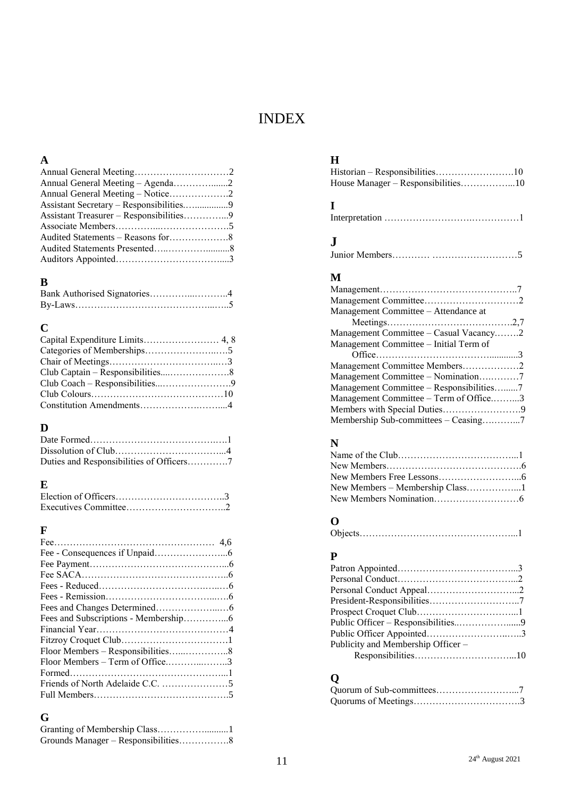# INDEX

### **A**

| Assistant Secretary – Responsibilities9 |  |
|-----------------------------------------|--|
|                                         |  |
|                                         |  |
|                                         |  |
|                                         |  |
|                                         |  |
|                                         |  |

# **B**

| Bank Authorised Signatories4 |  |
|------------------------------|--|
|                              |  |

## **C**

# **D**

| Duties and Responsibilities of Officers7 |
|------------------------------------------|

# **E**

# **F**

| Floor Members – Term of Office3 |  |
|---------------------------------|--|
|                                 |  |
|                                 |  |
|                                 |  |

# **G**

| Granting of Membership Class1 |  |
|-------------------------------|--|
|                               |  |

## **H**

| House Manager – Responsibilities10 |  |
|------------------------------------|--|

# **I**

|--|

# **J**

|--|--|

## **M**

| Management Committee - Attendance at     |  |
|------------------------------------------|--|
|                                          |  |
| Management Committee $-$ Casual Vacancy2 |  |
| Management Committee – Initial Term of   |  |
|                                          |  |
| Management Committee Members2            |  |
| Management Committee - Nomination7       |  |
| Management Committee – Responsibilities7 |  |
| Management Committee – Term of Office3   |  |
|                                          |  |
| Membership Sub-committees – Ceasing7     |  |

# **N**

| New Members - Membership Class1 |  |
|---------------------------------|--|
|                                 |  |

### **O**

## **P**

# **Q**